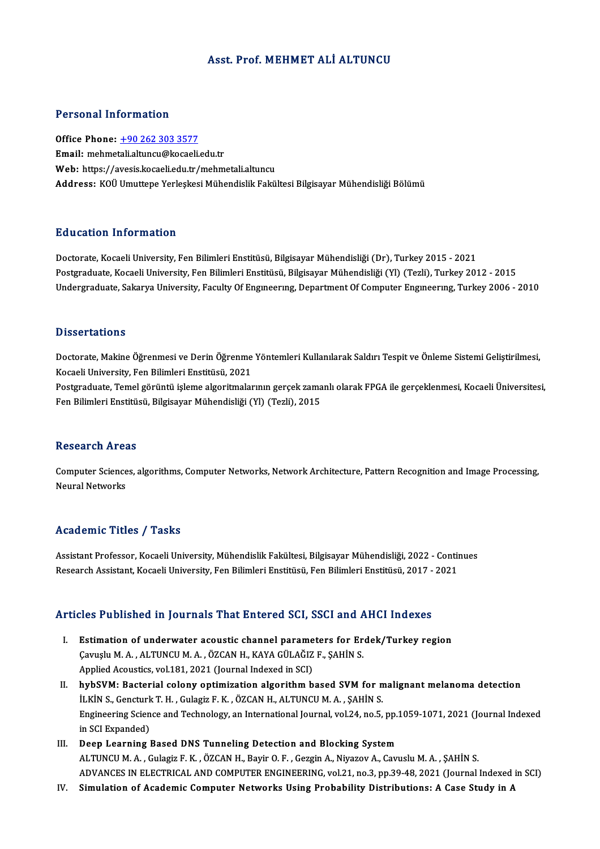## Asst. Prof.MEHMET ALİ ALTUNCU

## Personal Information

Office Phone: +90 262 303 3577 Email: mehme[tali.altuncu@kocaeli](tel:+90 262 303 3577).edu.tr Web: https://avesis.kocaeli.edu.tr/mehmetali.altuncu Address: KOÜ Umuttepe Yerleskesi Mühendislik Fakültesi Bilgisayar Mühendisliği Bölümü

## Education Information

Doctorate, Kocaeli University, Fen Bilimleri Enstitüsü, Bilgisayar Mühendisliği (Dr), Turkey 2015 - 2021 Postgraduate, Kocaeli University, Fen Bilimleri Enstitüsü, Bilgisayar Mühendisliği (Yl) (Tezli), Turkey 2012 - 2015 Undergraduate, Sakarya University, Faculty Of Engineering, Department Of Computer Engineering, Turkey 2006 - 2010

## **Dissertations**

Dissertations<br>Doctorate, Makine Öğrenmesi ve Derin Öğrenme Yöntemleri Kullanılarak Saldırı Tespit ve Önleme Sistemi Geliştirilmesi,<br>Kogasli University, Fan Bilimleri Enstitijeÿ, 2021 Basser tarrens<br>Doctorate, Makine Öğrenmesi ve Derin Öğrenme<br>Kocaeli University, Fen Bilimleri Enstitüsü, 2021<br>Postanaduate, Tamel görüntü islama algoritmalar Doctorate, Makine Öğrenmesi ve Derin Öğrenme Yöntemleri Kullanılarak Saldırı Tespit ve Önleme Sistemi Geliştirilmesi,<br>Kocaeli University, Fen Bilimleri Enstitüsü, 2021<br>Postgraduate, Temel görüntü işleme algoritmalarının ge

Kocaeli University, Fen Bilimleri Enstitüsü, 2021<br>Postgraduate, Temel görüntü işleme algoritmalarının gerçek zamanlı olarak FPGA ile gerçeklenmesi, Kocaeli Üniversitesi,<br>Fen Bilimleri Enstitüsü, Bilgisayar Mühendisliği (Yl

## **Research Areas**

Research Areas<br>Computer Sciences, algorithms, Computer Networks, Network Architecture, Pattern Recognition and Image Processing,<br>Nauval Networks Neueur en 111 et<br>Computer Science<br>Neural Networks

## Neural Networks<br>Academic Titles / Tasks

Academic Titles / Tasks<br>Assistant Professor, Kocaeli University, Mühendislik Fakültesi, Bilgisayar Mühendisliği, 2022 - Continues<br>Researsh Assistant, Kosaeli University, Fan Bilimleri Enstitüsü, Fan Bilimleri Enstitüsü, 20 rreaarchire "Peres") "Pasks<br>Assistant Professor, Kocaeli University, Mühendislik Fakültesi, Bilgisayar Mühendisliği, 2022 - Contii<br>Research Assistant, Kocaeli University, Fen Bilimleri Enstitüsü, Fen Bilimleri Enstitüsü, 2

# Research Assistant, Rocaell University, Fen Blilmieri Enstitusu, Fen Blilmieri Enstitusu, 2017 -<br>Articles Published in Journals That Entered SCI, SSCI and AHCI Indexes

- Tricles Published in Journals That Entered SCI, SSCI and AHCI Indexes<br>I. Estimation of underwater acoustic channel parameters for Erdek/Turkey region SECET ADSIGNOA III JOATIMIS TIME ENTOTOM DOS; DOST MIMT.<br>Estimation of underwater acoustic channel parameters for Er<br>Cavuşlu M.A., ALTUNCU M.A., ÖZCAN H., KAYA GÜLAĞIZ F., ŞAHİN S. Estimation of underwater acoustic channel parame<br>Çavuşlu M. A. , ALTUNCU M. A. , ÖZCAN H., KAYA GÜLAĞIZ<br>Applied Acoustics, vol.181, 2021 (Journal Indexed in SCI)<br>bybSVM: Pastarial solany ontimisation alsonithm b Applied Acoustics, vol.181, 2021 (Journal Indexed in SCI)<br>II. hybSVM: Bacterial colony optimization algorithm based SVM for malignant melanoma detection
- Applied Acoustics, vol.181, 2021 (Journal Indexed in SCI)<br>hybSVM: Bacterial colony optimization algorithm based SVM for n<br>İLKİN S., Gencturk T. H. , Gulagiz F. K. , ÖZCAN H., ALTUNCU M. A. , ŞAHİN S.<br>Engineering Science an Engineering Science and Technology, an International Journal, vol.24, no.5, pp.1059-1071, 2021 (Journal Indexed<br>in SCI Expanded) **iLKIN S., Gencturk**<br>Engineering Scien<br>in SCI Expanded)<br>Deen Learning l
- III. Deep Learning Based DNS Tunneling Detection and Blocking System ALTUNCUM.A. ,GulagizF.K. ,ÖZCANH.,BayirO.F. ,GezginA.,NiyazovA.,CavusluM.A. ,ŞAHİNS. ADVANCES IN ELECTRICAL AND COMPUTER ENGINEERING, vol.21, no.3, pp.39-48, 2021 (Journal Indexed in SCI)
- IV. Simulation of Academic Computer Networks Using Probability Distributions: A Case Study in A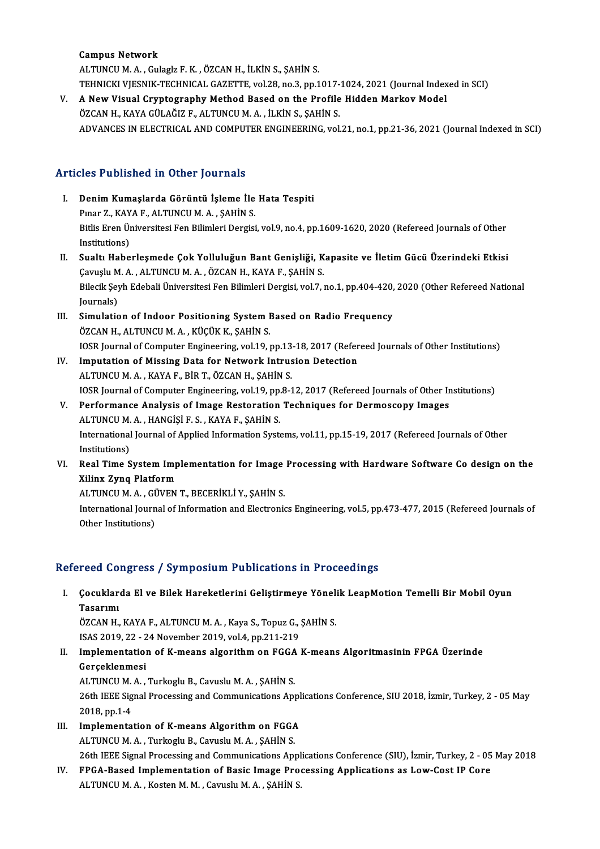Campus Network

ALTUNCUM.A. ,GulaglzF.K. ,ÖZCANH., İLKİNS.,ŞAHİNS. Campus Network<br>ALTUNCU M. A. , Gulaglz F. K. , ÖZCAN H., İLKİN S., ŞAHİN S.<br>TEHNICKI VJESNIK-TECHNICAL GAZETTE, vol.28, no.3, pp.1017-1024, 2021 (Journal Indexed in SCI)<br>A Now Vievel Cuyptography Method Based on the Brafil

V. A New Visual Cryptography Method Based on the Profile Hidden Markov Model ÖZCAN H., KAYA GÜLAĞIZ F., ALTUNCU M. A., İLKİN S., ŞAHİN S. TEHNICKI VJESNIK-TECHNICAL GAZETTE, vol.28, no.3, pp.1017-<br>A New Visual Cryptography Method Based on the Profile<br>ÖZCAN H., KAYA GÜLAĞIZ F., ALTUNCU M. A. , İLKİN S., ŞAHİN S.<br>ADVANCES IN ELECTRICAL AND COMPUTER ENCINEERING ADVANCES IN ELECTRICAL AND COMPUTER ENGINEERING, vol.21, no.1, pp.21-36, 2021 (Journal Indexed in SCI)

## Articles Published in Other Journals

- rticles Published in Other Journals<br>I. Denim Kumaşlarda Görüntü İşleme İle Hata Tespiti<br>Rupar 7, KAYA E. ALTINCUM A. SAHİN S Pies I definincu ili olnef journalis<br>Denim Kumaşlarda Görüntü İşleme İle<br>Pınar Z., KAYA F., ALTUNCU M.A. , ŞAHİN S. Denim Kumaşlarda Görüntü İşleme İle Hata Tespiti<br>Pınar Z., KAYA F., ALTUNCU M. A. , ŞAHİN S.<br>Bitlis Eren Üniversitesi Fen Bilimleri Dergisi, vol.9, no.4, pp.1609-1620, 2020 (Refereed Journals of Other<br>Institutione) Pınar Z., KAY<br>Bitlis Eren Ür<br>Institutions)<br>Suelt: Hebe Bitlis Eren Üniversitesi Fen Bilimleri Dergisi, vol.9, no.4, pp.1609-1620, 2020 (Refereed Journals of Other<br>Institutions)<br>II. Sualtı Haberleşmede Çok Yolluluğun Bant Genişliği, Kapasite ve İletim Gücü Üzerindeki Etkisi
- Institutions)<br>II. Sualtı Haberleşmede Çok Yolluluğun Bant Genişliği, Kapasite ve İletim Gücü Üzerindeki Etkisi<br>Çavuşlu M. A. , ALTUNCU M. A. , ÖZCAN H., KAYA F., ŞAHİN S. Sualtı Haberleşmede Çok Yolluluğun Bant Genişliği, Kapasite ve İletim Gücü Üzerindeki Etkisi<br>Çavuşlu M. A. , ALTUNCU M. A. , ÖZCAN H., KAYA F., ŞAHİN S.<br>Bilecik Şeyh Edebali Üniversitesi Fen Bilimleri Dergisi, vol.7, no.1, Çavuşlu M<br>Bilecik Şey<br>Journals)<br>Simulatie Bilecik Şeyh Edebali Üniversitesi Fen Bilimleri Dergisi, vol.7, no.1, pp.404-420,<br>Journals)<br>III. Simulation of Indoor Positioning System Based on Radio Frequency<br>ÖZCAN H ALTINCUM A RICINER SAHINE
- Journals)<br>III. Simulation of Indoor Positioning System Based on Radio Frequency<br>ÖZCAN H., ALTUNCU M. A. , KÜÇÜK K., ŞAHİN S. Simulation of Indoor Positioning System Based on Radio Frequency<br>ÖZCAN H., ALTUNCU M. A. , KÜÇÜK K., ŞAHİN S.<br>IOSR Journal of Computer Engineering, vol.19, pp.13-18, 2017 (Refereed Journals of Other Institutions)<br>Imputatio ÖZCAN H., ALTUNCU M. A., KÜÇÜK K., ŞAHİN S.<br>IOSR Journal of Computer Engineering, vol.19, pp.13-18, 2017 (Refer<br>IV. Imputation of Missing Data for Network Intrusion Detection<br>ALTUNCU M. A., KAYA E. PİR T. ÖZCAN H. SAHİN S.
- 10SR Journal of Computer Engineering, vol.19, pp.13<br>Imputation of Missing Data for Network Intrus<br>ALTUNCU M.A., KAYA F., BİR T., ÖZCAN H., ŞAHİN S.<br>10SB Journal of Computer Engineering vol.19, pp.9-1 I<mark>mputation of Missing Data for Network Intrusion Detection</mark><br>ALTUNCU M. A. , KAYA F., BİR T., ÖZCAN H., ŞAHİN S.<br>IOSR Journal of Computer Engineering, vol.19, pp.8-12, 2017 (Refereed Journals of Other Institutions)<br>Perform ALTUNCU M. A., KAYA F., BİR T., ÖZCAN H., ŞAHİN S.<br>IOSR Journal of Computer Engineering, vol.19, pp.8-12, 2017 (Refereed Journals of Other Ir<br>V. Performance Analysis of Image Restoration Techniques for Dermoscopy Images<br>AL
- IOSR Journal of Computer Engineering, vol.19, pp.<br>Performance Analysis of Image Restoration<br>ALTUNCU M. A. , HANGİŞİ F. S. , KAYA F., ŞAHİN S.<br>International Journal of Annlied Information Syst V. Performance Analysis of Image Restoration Techniques for Dermoscopy Images<br>ALTUNCU M. A. , HANGIȘI F. S. , KAYA F., ȘAHIN S.<br>International Journal of Applied Information Systems, vol.11, pp.15-19, 2017 (Refereed Journal ALTUNCU M.<br>International<br>Institutions)<br>Peal Time S
- VI. Real Time System Implementation for Image Processing with Hardware Software Co design on the Xilinx Zynq Platform Real Time System Implementation for Image<br>Xilinx Zynq Platform<br>ALTUNCU M. A., GÜVEN T., BECERİKLİ Y., ŞAHİN S.<br>International Jaurnal of Information and Electronic

International Journal of Information and Electronics Engineering, vol.5, pp.473-477, 2015 (Refereed Journals of Other Institutions) ALTUNCU M. A. , G<mark>l</mark><br>International Journ<br>Other Institutions)

## Refereed Congress / Symposium Publications in Proceedings

efereed Congress / Symposium Publications in Proceedings<br>I. Çocuklarda El ve Bilek Hareketlerini Geliştirmeye Yönelik LeapMotion Temelli Bir Mobil Oyun<br> Tasarımı reed de:<br>Çocuklar<br>Tasarımı<br>ÖZCAN H Çocuklarda El ve Bilek Hareketlerini Geliştirmeye Yönel:<br>Tasarımı<br>ÖZCAN H., KAYA F., ALTUNCU M. A. , Kaya S., Topuz G., ŞAHİN S.<br>ISAS 2019 22 - 24 November 2019 vel 4-np 211 219

Tasarımı<br>ÖZCAN H., KAYA F., ALTUNCU M. A. , Kaya S., Topuz G., .<br>ISAS 2019, 22 - 24 November 2019, vol.4, pp.211-219<br>Implementation of K. means alsonithm on ECCA .

- ÖZCAN H., KAYA F., ALTUNCU M. A. , Kaya S., Topuz G., ŞAHİN S.<br>ISAS 2019, 22 24 November 2019, vol.4, pp.211-219<br>II. Implementation of K-means algorithm on FGGA K-means Algoritmasinin FPGA Üzerinde<br>Coreeklopmee: ISAS 2019, 22 - 24 November 2019, vol.4, pp.211-219<br>Implementation of K-means algorithm on FGGA<br>Gerçeklenmesi<br>ALTUNCU M. A., Turkoglu B., Cavuslu M. A., SAHİN S. Implementation of K-means algorithm on FGGA<br>Gerçeklenmesi<br>ALTUNCU M.A., Turkoglu B., Cavuslu M.A., ŞAHİN S.<br>26th IEEE Signal Processing and Communications Ant Gerçeklenmesi<br>ALTUNCU M. A. , Turkoglu B., Cavuslu M. A. , ŞAHİN S.<br>26th IEEE Signal Processing and Communications Applications Conference, SIU 2018, İzmir, Turkey, 2 - 05 May ALTUNCU M.<br>26th IEEE Sig<br>2018, pp.1-4<br>Implemente 26th IEEE Signal Processing and Communications Appl<br>2018, pp.1-4<br>III. Implementation of K-means Algorithm on FGGA<br>ALTINGUM A. Turkocky B. Camply M.A. SAHIN S
- 2018, pp.1-4<br>Implementation of K-means Algorithm on FGGA<br>ALTUNCU M. A. , Turkoglu B., Cavuslu M. A. , ŞAHİN S.<br>26th JEEE Signal Processing and Communications Ant Implementation of K-means Algorithm on FGGA<br>ALTUNCU M. A. , Turkoglu B., Cavuslu M. A. , ŞAHİN S.<br>26th IEEE Signal Processing and Communications Applications Conference (SIU), İzmir, Turkey, 2 - 05 May 2018<br>EPCA Peaced Imp ALTUNCU M. A., Turkoglu B., Cavuslu M. A., ŞAHİN S.<br>26th IEEE Signal Processing and Communications Applications Conference (SIU), İzmir, Turkey, 2 - 05<br>IV. FPGA-Based Implementation of Basic Image Processing Applications a
- 26th IEEE Signal Processing and Communications Appl<br>FPGA-Based Implementation of Basic Image Pro<br>ALTUNCU M. A. , Kosten M. M. , Cavuslu M. A. , ŞAHİN S.